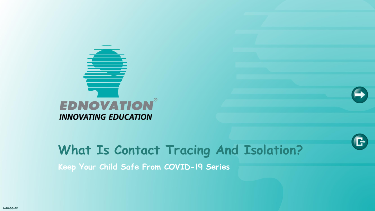

# **What Is Contact Tracing And Isolation? Keep Your Child Safe From COVID-19 Series**

e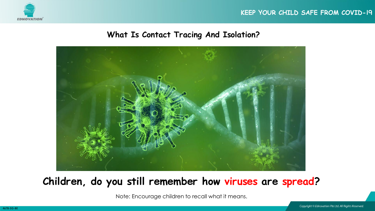





### **Children, do you still remember how viruses are spread?**

Note: Encourage children to recall what it means.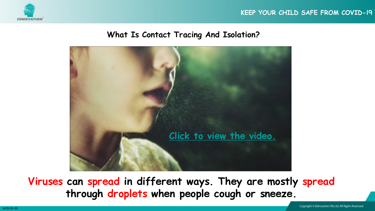





**Viruses can spread in different ways. They are mostly spread through droplets when people cough or sneeze.**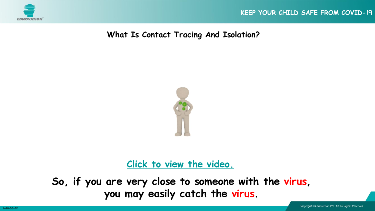

**What Is Contact Tracing And Isolation?**



**[Click to view the video.](https://youtu.be/Zr_Tb2bcnOI)**

**So, if you are very close to someone with the virus, you may easily catch the virus.**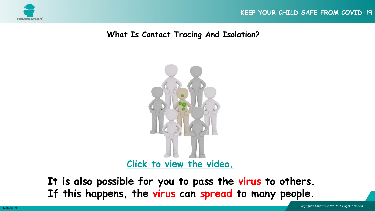

#### **What Is Contact Tracing And Isolation?**



**It is also possible for you to pass the virus to others. If this happens, the virus can spread to many people.**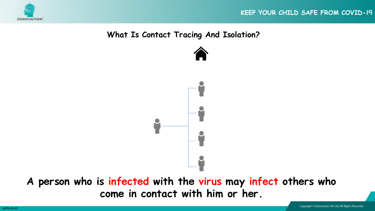

#### **What Is Contact Tracing And Isolation?**



**A person who is infected with the virus may infect others who come in contact with him or her.**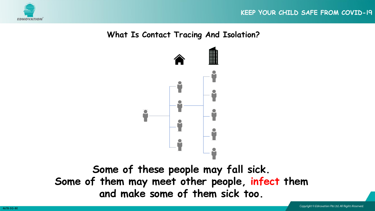



**Some of these people may fall sick. Some of them may meet other people, infect them and make some of them sick too.**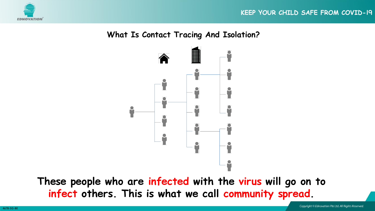



**These people who are infected with the virus will go on to infect others. This is what we call community spread.**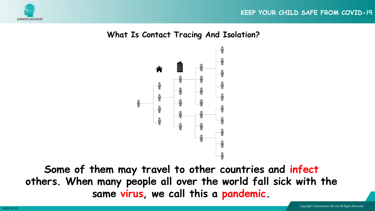



**Some of them may travel to other countries and infect others. When many people all over the world fall sick with the same virus, we call this a pandemic.**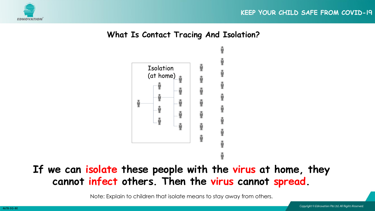



# **If we can isolate these people with the virus at home, they cannot infect others. Then the virus cannot spread.**

Note: Explain to children that isolate means to stay away from others.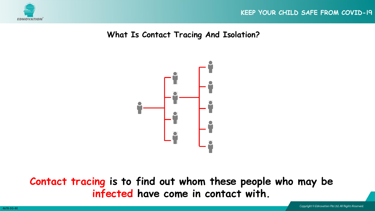

**What Is Contact Tracing And Isolation?**



**Contact tracing is to find out whom these people who may be infected have come in contact with.**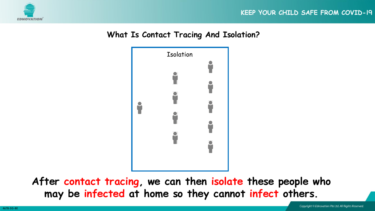





**After contact tracing, we can then isolate these people who may be infected at home so they cannot infect others.**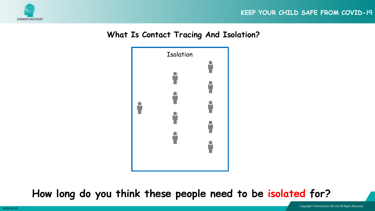





**How long do you think these people need to be isolated for?**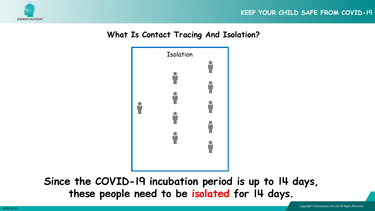





**Since the COVID-19 incubation period is up to 14 days, these people need to be isolated for 14 days.**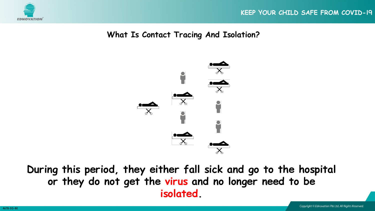

#### **What Is Contact Tracing And Isolation?**



**During this period, they either fall sick and go to the hospital or they do not get the virus and no longer need to be isolated.**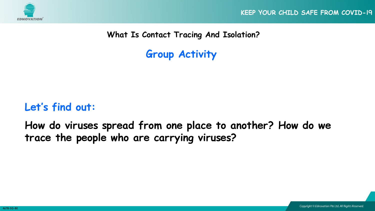

**What Is Contact Tracing And Isolation?**

**Group Activity**

# **Let's find out:**

**How do viruses spread from one place to another? How do we trace the people who are carrying viruses?**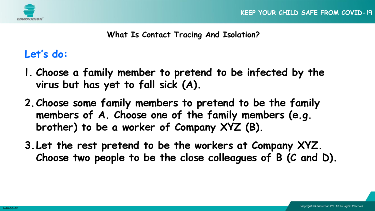

## **Let's do:**

- **1. Choose a family member to pretend to be infected by the virus but has yet to fall sick (A).**
- **2.Choose some family members to pretend to be the family members of A. Choose one of the family members (e.g. brother) to be a worker of Company XYZ (B).**
- **3.Let the rest pretend to be the workers at Company XYZ. Choose two people to be the close colleagues of B (C and D).**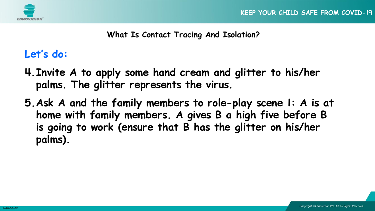



**Let's do:**

- **4.Invite A to apply some hand cream and glitter to his/her palms. The glitter represents the virus.**
- **5.Ask A and the family members to role-play scene 1: A is at home with family members. A gives B a high five before B is going to work (ensure that B has the glitter on his/her palms).**